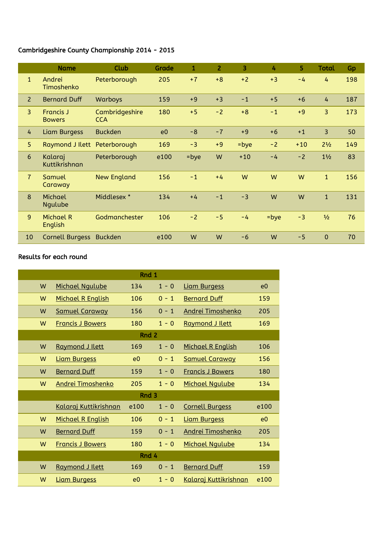## Cambridgeshire County Championship 2014 - 2015

|                | <b>Name</b>                       | Club                         | Grade          | 1    | $\overline{2}$ | 3       | 4       | 5.    | <b>Total</b>   | Gp  |
|----------------|-----------------------------------|------------------------------|----------------|------|----------------|---------|---------|-------|----------------|-----|
| $\mathbf{1}$   | Andrei<br>Timoshenko              | Peterborough                 | 205            | $+7$ | $+8$           | $+2$    | $+3$    | $-4$  | 4              | 198 |
| $\overline{2}$ | <b>Bernard Duff</b>               | Warboys                      | 159            | $+9$ | $+3$           | $-1$    | $+5$    | $+6$  | 4              | 187 |
| $\overline{3}$ | <b>Francis J</b><br><b>Bowers</b> | Cambridgeshire<br><b>CCA</b> | 180            | $+5$ | $-2$           | $+8$    | $-1$    | $+9$  | 3              | 173 |
| 4              | Liam Burgess                      | <b>Buckden</b>               | e <sub>0</sub> | $-8$ | $-7$           | $+9$    | $+6$    | $+1$  | 3              | 50  |
| 5              | Raymond J Ilett Peterborough      |                              | 169            | $-3$ | $+9$           | $=$ bye | $-2$    | $+10$ | $2^{1/2}$      | 149 |
| 6              | Kalaraj<br>Kuttikrishnan          | Peterborough                 | e100           | =bye | W              | $+10$   | $-4$    | $-2$  | $1\frac{1}{2}$ | 83  |
| $\overline{7}$ | Samuel<br>Caraway                 | <b>New England</b>           | 156            | $-1$ | $+4$           | W       | W       | W     | $\mathbf{1}$   | 156 |
| 8              | Michael<br>Ngulube                | Middlesex *                  | 134            | $+4$ | $-1$           | $-3$    | W       | W     | $\mathbf{1}$   | 131 |
| 9              | Michael R<br>English              | Godmanchester                | 106            | $-2$ | $-5$           | $-4$    | $=$ bye | $-3$  | 1/2            | 76  |
| 10             | <b>Cornell Burgess</b>            | <b>Buckden</b>               | e100           | W    | W              | $-6$    | W       | $-5$  | $\overline{0}$ | 70  |

## Results for each round

| Rnd 1            |                          |      |         |                          |                |  |  |  |
|------------------|--------------------------|------|---------|--------------------------|----------------|--|--|--|
| W                | <b>Michael Ngulube</b>   | 134  | $1 - 0$ | <b>Liam Burgess</b>      | e0             |  |  |  |
| W                | Michael R English        | 106  | $0 - 1$ | <b>Bernard Duff</b>      | 159            |  |  |  |
| W                | <b>Samuel Caraway</b>    | 156  | $0 - 1$ | <b>Andrei Timoshenko</b> | 205            |  |  |  |
| W                | <b>Francis J Bowers</b>  | 180  | $1 - 0$ | Raymond J Ilett          | 169            |  |  |  |
| Rnd 2            |                          |      |         |                          |                |  |  |  |
| W                | Raymond J Ilett          | 169  | $1 - 0$ | Michael R English        | 106            |  |  |  |
| W                | <b>Liam Burgess</b>      | e0   | $0 - 1$ | <b>Samuel Caraway</b>    | 156            |  |  |  |
| W                | <b>Bernard Duff</b>      | 159  | $1 - 0$ | <b>Francis J Bowers</b>  | 180            |  |  |  |
| W                | <b>Andrei Timoshenko</b> | 205  | $1 - 0$ | Michael Ngulube          | 134            |  |  |  |
| Rnd <sub>3</sub> |                          |      |         |                          |                |  |  |  |
|                  | Kalaraj Kuttikrishnan    | e100 | $1 - 0$ | <b>Cornell Burgess</b>   | e100           |  |  |  |
| W                | Michael R English        | 106  | $0 - 1$ | <b>Liam Burgess</b>      | e <sub>0</sub> |  |  |  |
| W                | <b>Bernard Duff</b>      | 159  | $0 - 1$ | Andrei Timoshenko        | 205            |  |  |  |
| W                | <b>Francis J Bowers</b>  | 180  | $1 - 0$ | <b>Michael Ngulube</b>   | 134            |  |  |  |
| Rnd 4            |                          |      |         |                          |                |  |  |  |
| W                | Raymond J Ilett          | 169  | $0 - 1$ | <b>Bernard Duff</b>      | 159            |  |  |  |
| W                | <b>Liam Burgess</b>      | e0   | $1 - 0$ | Kalaraj Kuttikrishnan    | e100           |  |  |  |